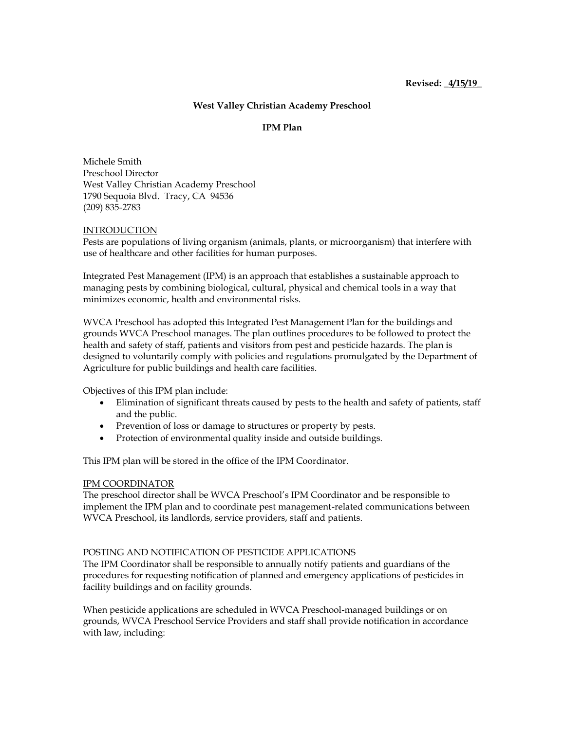# **West Valley Christian Academy Preschool**

## **IPM Plan**

Michele Smith Preschool Director West Valley Christian Academy Preschool 1790 Sequoia Blvd. Tracy, CA 94536 (209) 835-2783

### INTRODUCTION

Pests are populations of living organism (animals, plants, or microorganism) that interfere with use of healthcare and other facilities for human purposes.

Integrated Pest Management (IPM) is an approach that establishes a sustainable approach to managing pests by combining biological, cultural, physical and chemical tools in a way that minimizes economic, health and environmental risks.

WVCA Preschool has adopted this Integrated Pest Management Plan for the buildings and grounds WVCA Preschool manages. The plan outlines procedures to be followed to protect the health and safety of staff, patients and visitors from pest and pesticide hazards. The plan is designed to voluntarily comply with policies and regulations promulgated by the Department of Agriculture for public buildings and health care facilities.

Objectives of this IPM plan include:

- Elimination of significant threats caused by pests to the health and safety of patients, staff and the public.
- Prevention of loss or damage to structures or property by pests.
- Protection of environmental quality inside and outside buildings.

This IPM plan will be stored in the office of the IPM Coordinator.

### IPM COORDINATOR

The preschool director shall be WVCA Preschool's IPM Coordinator and be responsible to implement the IPM plan and to coordinate pest management-related communications between WVCA Preschool, its landlords, service providers, staff and patients.

### POSTING AND NOTIFICATION OF PESTICIDE APPLICATIONS

The IPM Coordinator shall be responsible to annually notify patients and guardians of the procedures for requesting notification of planned and emergency applications of pesticides in facility buildings and on facility grounds.

When pesticide applications are scheduled in WVCA Preschool-managed buildings or on grounds, WVCA Preschool Service Providers and staff shall provide notification in accordance with law, including: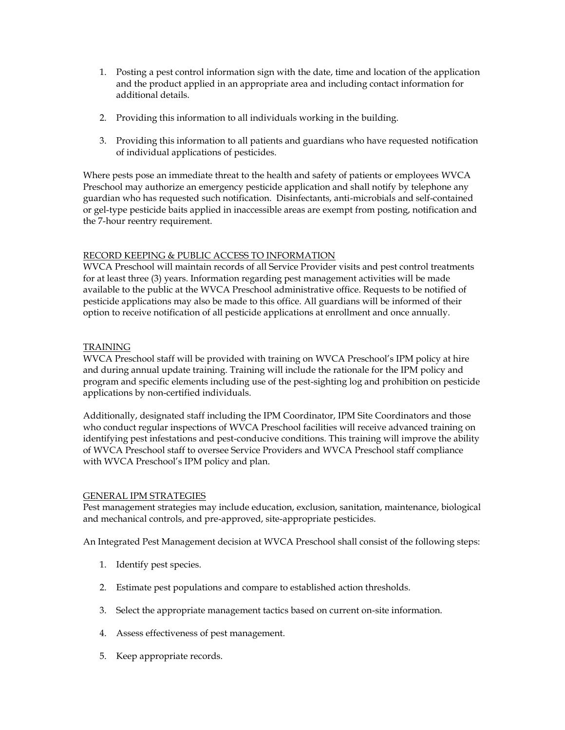- 1. Posting a pest control information sign with the date, time and location of the application and the product applied in an appropriate area and including contact information for additional details.
- 2. Providing this information to all individuals working in the building.
- 3. Providing this information to all patients and guardians who have requested notification of individual applications of pesticides.

Where pests pose an immediate threat to the health and safety of patients or employees WVCA Preschool may authorize an emergency pesticide application and shall notify by telephone any guardian who has requested such notification. Disinfectants, anti-microbials and self-contained or gel-type pesticide baits applied in inaccessible areas are exempt from posting, notification and the 7-hour reentry requirement.

## RECORD KEEPING & PUBLIC ACCESS TO INFORMATION

WVCA Preschool will maintain records of all Service Provider visits and pest control treatments for at least three (3) years. Information regarding pest management activities will be made available to the public at the WVCA Preschool administrative office. Requests to be notified of pesticide applications may also be made to this office. All guardians will be informed of their option to receive notification of all pesticide applications at enrollment and once annually.

## TRAINING

WVCA Preschool staff will be provided with training on WVCA Preschool's IPM policy at hire and during annual update training. Training will include the rationale for the IPM policy and program and specific elements including use of the pest-sighting log and prohibition on pesticide applications by non-certified individuals.

Additionally, designated staff including the IPM Coordinator, IPM Site Coordinators and those who conduct regular inspections of WVCA Preschool facilities will receive advanced training on identifying pest infestations and pest-conducive conditions. This training will improve the ability of WVCA Preschool staff to oversee Service Providers and WVCA Preschool staff compliance with WVCA Preschool's IPM policy and plan.

### GENERAL IPM STRATEGIES

Pest management strategies may include education, exclusion, sanitation, maintenance, biological and mechanical controls, and pre-approved, site-appropriate pesticides.

An Integrated Pest Management decision at WVCA Preschool shall consist of the following steps:

- 1. Identify pest species.
- 2. Estimate pest populations and compare to established action thresholds.
- 3. Select the appropriate management tactics based on current on-site information.
- 4. Assess effectiveness of pest management.
- 5. Keep appropriate records.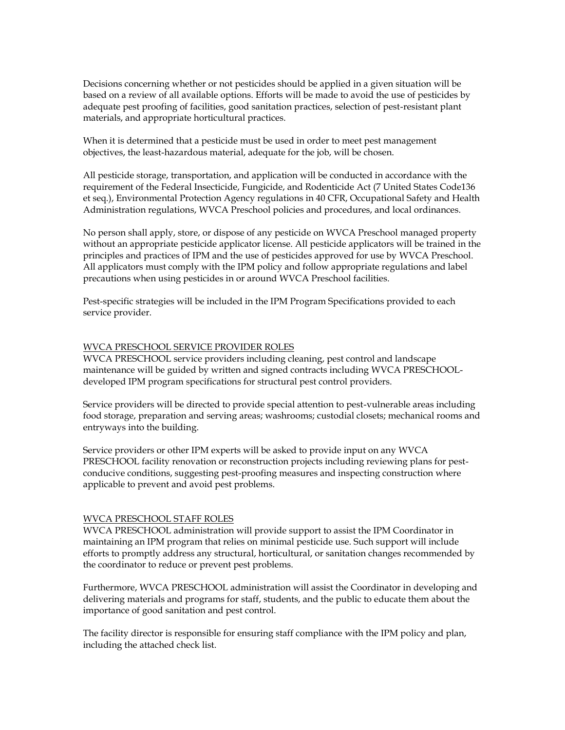Decisions concerning whether or not pesticides should be applied in a given situation will be based on a review of all available options. Efforts will be made to avoid the use of pesticides by adequate pest proofing of facilities, good sanitation practices, selection of pest-resistant plant materials, and appropriate horticultural practices.

When it is determined that a pesticide must be used in order to meet pest management objectives, the least-hazardous material, adequate for the job, will be chosen.

All pesticide storage, transportation, and application will be conducted in accordance with the requirement of the Federal Insecticide, Fungicide, and Rodenticide Act (7 United States Code136 et seq.), Environmental Protection Agency regulations in 40 CFR, Occupational Safety and Health Administration regulations, WVCA Preschool policies and procedures, and local ordinances.

No person shall apply, store, or dispose of any pesticide on WVCA Preschool managed property without an appropriate pesticide applicator license. All pesticide applicators will be trained in the principles and practices of IPM and the use of pesticides approved for use by WVCA Preschool. All applicators must comply with the IPM policy and follow appropriate regulations and label precautions when using pesticides in or around WVCA Preschool facilities.

Pest-specific strategies will be included in the IPM Program Specifications provided to each service provider.

## WVCA PRESCHOOL SERVICE PROVIDER ROLES

WVCA PRESCHOOL service providers including cleaning, pest control and landscape maintenance will be guided by written and signed contracts including WVCA PRESCHOOLdeveloped IPM program specifications for structural pest control providers.

Service providers will be directed to provide special attention to pest-vulnerable areas including food storage, preparation and serving areas; washrooms; custodial closets; mechanical rooms and entryways into the building.

Service providers or other IPM experts will be asked to provide input on any WVCA PRESCHOOL facility renovation or reconstruction projects including reviewing plans for pestconducive conditions, suggesting pest-proofing measures and inspecting construction where applicable to prevent and avoid pest problems.

### WVCA PRESCHOOL STAFF ROLES

WVCA PRESCHOOL administration will provide support to assist the IPM Coordinator in maintaining an IPM program that relies on minimal pesticide use. Such support will include efforts to promptly address any structural, horticultural, or sanitation changes recommended by the coordinator to reduce or prevent pest problems.

Furthermore, WVCA PRESCHOOL administration will assist the Coordinator in developing and delivering materials and programs for staff, students, and the public to educate them about the importance of good sanitation and pest control.

The facility director is responsible for ensuring staff compliance with the IPM policy and plan, including the attached check list.